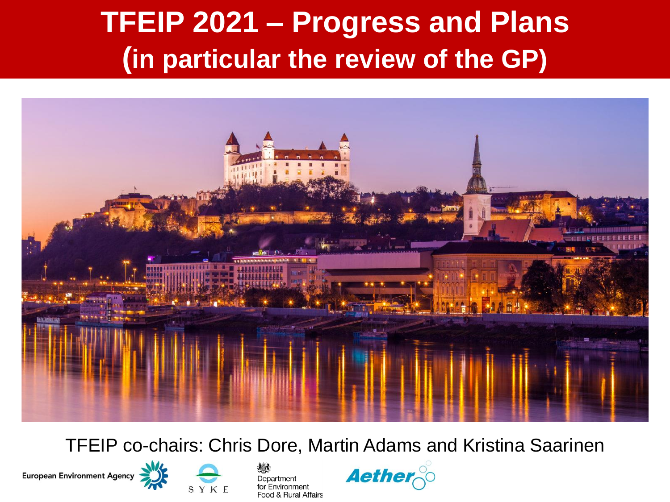### **TFEIP 2021 – Progress and Plans (in particular the review of the GP)**



TFEIP co-chairs: Chris Dore, Martin Adams and Kristina Saarinen







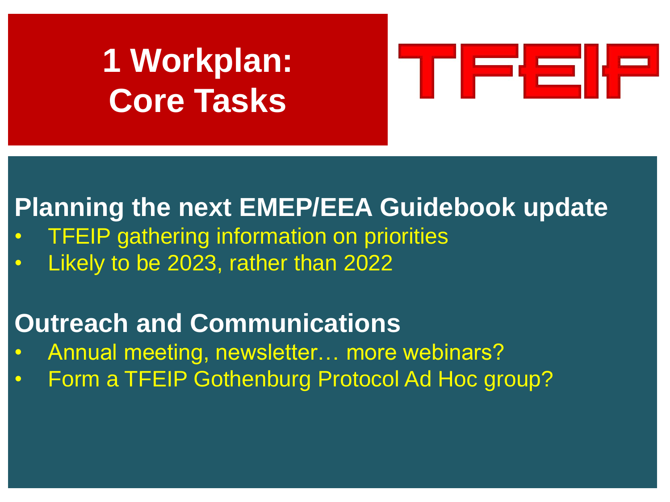# **1 Workplan: Core Tasks**



#### **Planning the next EMEP/EEA Guidebook update**

- **TFEIP gathering information on priorities**
- Likely to be 2023, rather than 2022

#### **Outreach and Communications**

- Annual meeting, newsletter… more webinars?
- Form a TFEIP Gothenburg Protocol Ad Hoc group?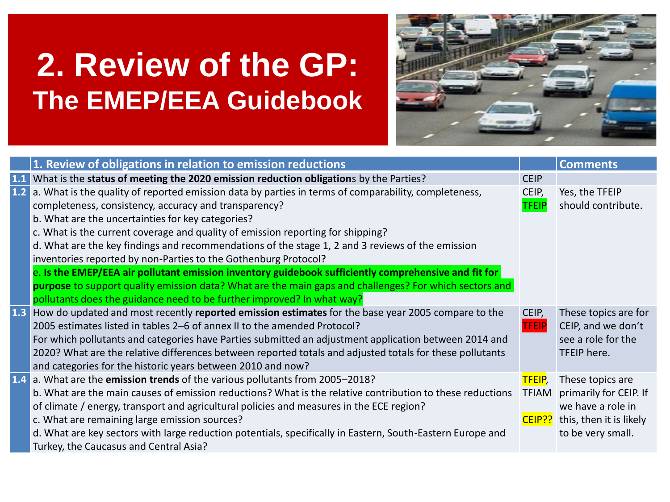## **2. Review of the GP: The EMEP/EEA Guidebook**



|     | 1. Review of obligations in relation to emission reductions                                                |              | <b>Comments</b>         |
|-----|------------------------------------------------------------------------------------------------------------|--------------|-------------------------|
| 1.1 | What is the status of meeting the 2020 emission reduction obligations by the Parties?                      | <b>CEIP</b>  |                         |
| 1.2 | a. What is the quality of reported emission data by parties in terms of comparability, completeness,       | CEIP,        | Yes, the TFEIP          |
|     | completeness, consistency, accuracy and transparency?                                                      | <b>TFEIP</b> | should contribute.      |
|     | b. What are the uncertainties for key categories?                                                          |              |                         |
|     | c. What is the current coverage and quality of emission reporting for shipping?                            |              |                         |
|     | d. What are the key findings and recommendations of the stage 1, 2 and 3 reviews of the emission           |              |                         |
|     | inventories reported by non-Parties to the Gothenburg Protocol?                                            |              |                         |
|     | e. Is the EMEP/EEA air pollutant emission inventory guidebook sufficiently comprehensive and fit for       |              |                         |
|     | purpose to support quality emission data? What are the main gaps and challenges? For which sectors and     |              |                         |
|     | pollutants does the guidance need to be further improved? In what way?                                     |              |                         |
| 1.3 | How do updated and most recently reported emission estimates for the base year 2005 compare to the         | CEIP,        | These topics are for    |
|     | 2005 estimates listed in tables 2–6 of annex II to the amended Protocol?                                   | <b>FEIP</b>  | CEIP, and we don't      |
|     | For which pollutants and categories have Parties submitted an adjustment application between 2014 and      |              | see a role for the      |
|     | 2020? What are the relative differences between reported totals and adjusted totals for these pollutants   |              | TFEIP here.             |
|     | and categories for the historic years between 2010 and now?                                                |              |                         |
|     | 1.4 a. What are the emission trends of the various pollutants from 2005-2018?                              | TFEIP,       | These topics are        |
|     | b. What are the main causes of emission reductions? What is the relative contribution to these reductions  | TFIAM        | primarily for CEIP. If  |
|     | of climate / energy, transport and agricultural policies and measures in the ECE region?                   |              | we have a role in       |
|     | c. What are remaining large emission sources?                                                              | CEIP??       | this, then it is likely |
|     | d. What are key sectors with large reduction potentials, specifically in Eastern, South-Eastern Europe and |              | to be very small.       |
|     | Turkey, the Caucasus and Central Asia?                                                                     |              |                         |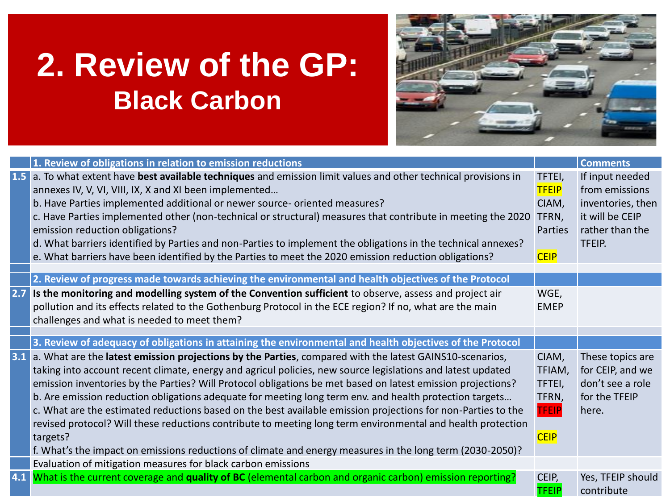## **2. Review of the GP: Black Carbon**



|     | 1. Review of obligations in relation to emission reductions                                                      |                | <b>Comments</b>   |
|-----|------------------------------------------------------------------------------------------------------------------|----------------|-------------------|
|     | 1.5 a. To what extent have best available techniques and emission limit values and other technical provisions in | TFTEI,         | If input needed   |
|     | annexes IV, V, VI, VIII, IX, X and XI been implemented                                                           | <b>TFEIP</b>   | from emissions    |
|     | b. Have Parties implemented additional or newer source- oriented measures?                                       | CIAM,          | inventories, then |
|     | c. Have Parties implemented other (non-technical or structural) measures that contribute in meeting the 2020     | TFRN,          | it will be CEIP   |
|     | emission reduction obligations?                                                                                  | <b>Parties</b> | rather than the   |
|     | d. What barriers identified by Parties and non-Parties to implement the obligations in the technical annexes?    |                | TFEIP.            |
|     | e. What barriers have been identified by the Parties to meet the 2020 emission reduction obligations?            | <b>CEIP</b>    |                   |
|     |                                                                                                                  |                |                   |
|     | 2. Review of progress made towards achieving the environmental and health objectives of the Protocol             |                |                   |
| 2.7 | Is the monitoring and modelling system of the Convention sufficient to observe, assess and project air           | WGE,           |                   |
|     | pollution and its effects related to the Gothenburg Protocol in the ECE region? If no, what are the main         | <b>EMEP</b>    |                   |
|     | challenges and what is needed to meet them?                                                                      |                |                   |
|     |                                                                                                                  |                |                   |
|     |                                                                                                                  |                |                   |
|     | 3. Review of adequacy of obligations in attaining the environmental and health objectives of the Protocol        |                |                   |
|     | 3.1 a. What are the latest emission projections by the Parties, compared with the latest GAINS10-scenarios,      | CIAM,          | These topics are  |
|     | taking into account recent climate, energy and agricul policies, new source legislations and latest updated      | TFIAM,         | for CEIP, and we  |
|     | emission inventories by the Parties? Will Protocol obligations be met based on latest emission projections?      | TFTEI,         | don't see a role  |
|     | b. Are emission reduction obligations adequate for meeting long term env. and health protection targets          | TFRN,          | for the TFEIP     |
|     | c. What are the estimated reductions based on the best available emission projections for non-Parties to the     | <b>TFEIP</b>   | here.             |
|     | revised protocol? Will these reductions contribute to meeting long term environmental and health protection      |                |                   |
|     | targets?                                                                                                         | <b>CEIP</b>    |                   |
|     | f. What's the impact on emissions reductions of climate and energy measures in the long term (2030-2050)?        |                |                   |
|     | Evaluation of mitigation measures for black carbon emissions                                                     |                |                   |
|     | 4.1 What is the current coverage and quality of BC (elemental carbon and organic carbon) emission reporting?     | CEIP,          | Yes, TFEIP should |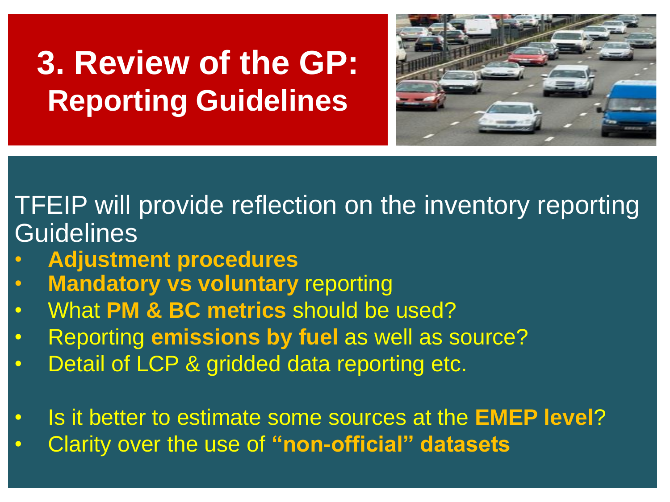# **3. Review of the GP: Reporting Guidelines**



TFEIP will provide reflection on the inventory reporting **Guidelines** 

- **Adjustment procedures**
- **Mandatory vs voluntary reporting**
- What **PM & BC metrics** should be used?
- Reporting **emissions by fuel** as well as source?
- Detail of LCP & gridded data reporting etc.
- Is it better to estimate some sources at the **EMEP level**?
- Clarity over the use of **"non-official" datasets**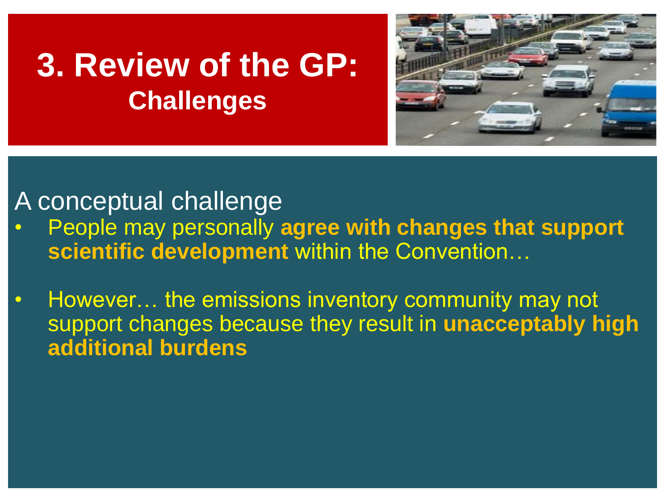#### **3. Review of the GP: Challenges**



#### A conceptual challenge

- People may personally **agree with changes that support scientific development** within the Convention…
- However… the emissions inventory community may not support changes because they result in **unacceptably high additional burdens**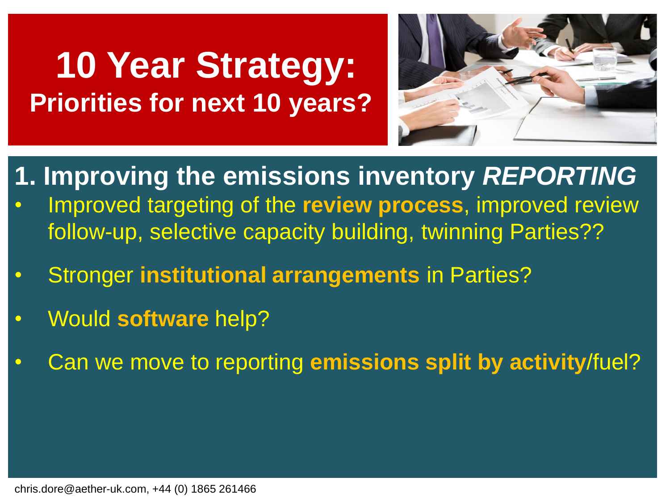# **10 Year Strategy: Priorities for next 10 years?**



- **1. Improving the emissions inventory** *REPORTING* • Improved targeting of the **review process**, improved review
	- follow-up, selective capacity building, twinning Parties??
- Stronger **institutional arrangements** in Parties?
- Would **software** help?
- Can we move to reporting **emissions split by activity**/fuel?